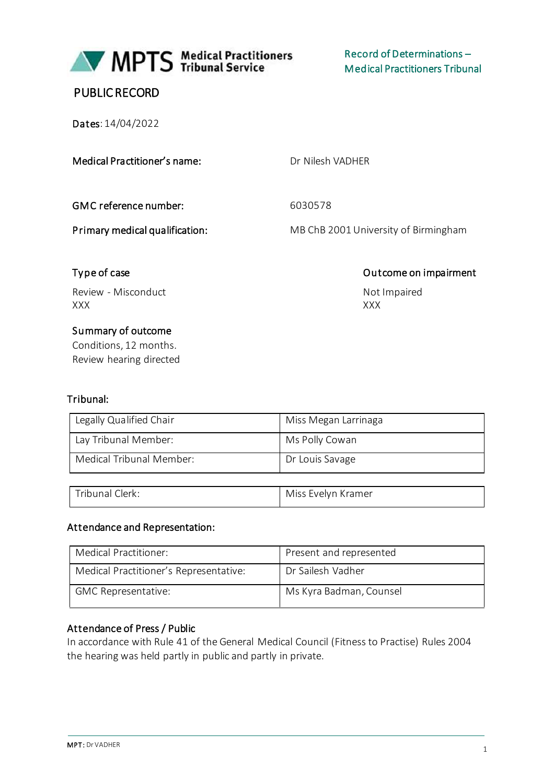

MPTS Medical Practitioners

# PUBLIC RECORD

Dates: 14/04/2022

#### Medical Practitioner's name: Dr Nilesh VADHER

GMC reference number: 6030578

Primary medical qualification: MB ChB 2001 University of Birmingham

# Type of case **Outcome on impairment**

Review - Misconduct Not Impaired XXX XXX

#### Summary of outcome

Conditions, 12 months. Review hearing directed

#### Tribunal:

| Legally Qualified Chair  | Miss Megan Larrinaga |
|--------------------------|----------------------|
| Lay Tribunal Member:     | Ms Polly Cowan       |
| Medical Tribunal Member: | Dr Louis Savage      |

| Tribunal Clerk: | Miss Evelyn Kramer |
|-----------------|--------------------|

#### Attendance and Representation:

| Medical Practitioner:                  | Present and represented |
|----------------------------------------|-------------------------|
| Medical Practitioner's Representative: | Dr Sailesh Vadher       |
| <b>GMC Representative:</b>             | Ms Kyra Badman, Counsel |

#### Attendance of Press / Public

In accordance with Rule 41 of the General Medical Council (Fitness to Practise) Rules 2004 the hearing was held partly in public and partly in private.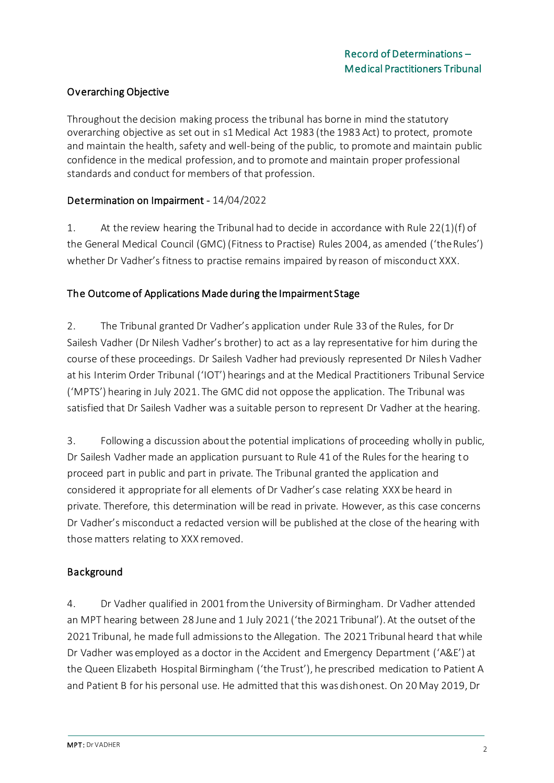# Overarching Objective

Throughout the decision making process the tribunal has borne in mind the statutory overarching objective as set out in s1 Medical Act 1983 (the 1983 Act) to protect, promote and maintain the health, safety and well-being of the public, to promote and maintain public confidence in the medical profession, and to promote and maintain proper professional standards and conduct for members of that profession.

#### Determination on Impairment - 14/04/2022

1. At the review hearing the Tribunal had to decide in accordance with Rule 22(1)(f) of the General Medical Council (GMC) (Fitness to Practise) Rules 2004, as amended ('the Rules') whether Dr Vadher's fitness to practise remains impaired by reason of misconduct XXX.

#### The Outcome of Applications Made during the Impairment Stage

2. The Tribunal granted Dr Vadher's application under Rule 33 of the Rules, for Dr Sailesh Vadher (Dr Nilesh Vadher's brother) to act as a lay representative for him during the course of these proceedings. Dr Sailesh Vadher had previously represented Dr Nilesh Vadher at his Interim Order Tribunal ('IOT') hearings and at the Medical Practitioners Tribunal Service ('MPTS') hearing in July 2021. The GMC did not oppose the application. The Tribunal was satisfied that Dr Sailesh Vadher was a suitable person to represent Dr Vadher at the hearing.

3. Following a discussion about the potential implications of proceeding wholly in public, Dr Sailesh Vadher made an application pursuant to Rule 41 of the Rules for the hearing to proceed part in public and part in private. The Tribunal granted the application and considered it appropriate for all elements of Dr Vadher's case relating XXX be heard in private. Therefore, this determination will be read in private. However, as this case concerns Dr Vadher's misconduct a redacted version will be published at the close of the hearing with those matters relating to XXX removed.

# Background

4. Dr Vadher qualified in 2001 from the University of Birmingham. Dr Vadher attended an MPT hearing between 28 June and 1 July 2021 ('the 2021 Tribunal'). At the outset of the 2021 Tribunal, he made full admissions to the Allegation. The 2021 Tribunal heard that while Dr Vadher was employed as a doctor in the Accident and Emergency Department ('A&E') at the Queen Elizabeth Hospital Birmingham ('the Trust'), he prescribed medication to Patient A and Patient B for his personal use. He admitted that this was dishonest. On 20 May 2019, Dr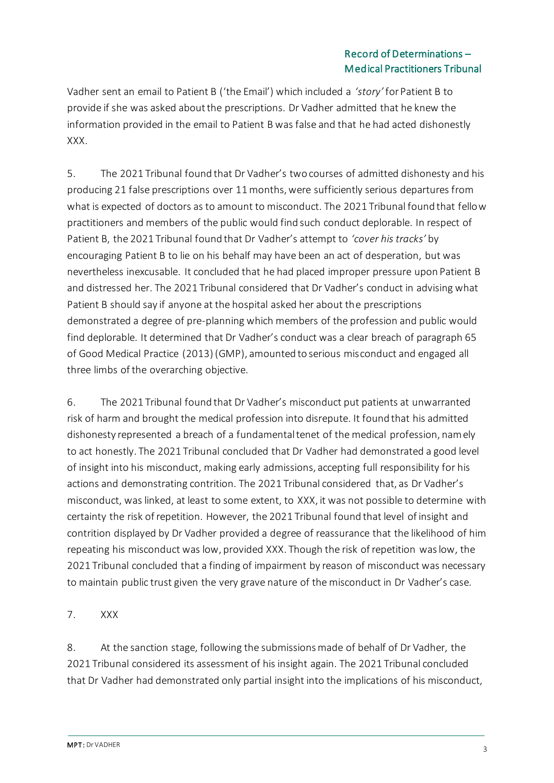# Record of Determinations – Medical Practitioners Tribunal

Vadher sent an email to Patient B ('the Email') which included a *'story'* for Patient B to provide if she was asked about the prescriptions. Dr Vadher admitted that he knew the information provided in the email to Patient B was false and that he had acted dishonestly XXX.

5. The 2021 Tribunal found that Dr Vadher's two courses of admitted dishonesty and his producing 21 false prescriptions over 11 months, were sufficiently serious departures from what is expected of doctors as to amount to misconduct. The 2021 Tribunal found that fellow practitioners and members of the public would find such conduct deplorable. In respect of Patient B, the 2021 Tribunal found that Dr Vadher's attempt to *'cover his tracks'* by encouraging Patient B to lie on his behalf may have been an act of desperation, but was nevertheless inexcusable. It concluded that he had placed improper pressure upon Patient B and distressed her. The 2021 Tribunal considered that Dr Vadher's conduct in advising what Patient B should say if anyone at the hospital asked her about the prescriptions demonstrated a degree of pre-planning which members of the profession and public would find deplorable. It determined that Dr Vadher's conduct was a clear breach of paragraph 65 of Good Medical Practice (2013) (GMP), amounted to serious misconduct and engaged all three limbs of the overarching objective.

6. The 2021 Tribunal found that Dr Vadher's misconduct put patients at unwarranted risk of harm and brought the medical profession into disrepute. It found that his admitted dishonesty represented a breach of a fundamental tenet of the medical profession, namely to act honestly. The 2021 Tribunal concluded that Dr Vadher had demonstrated a good level of insight into his misconduct, making early admissions, accepting full responsibility for his actions and demonstrating contrition. The 2021 Tribunal considered that, as Dr Vadher's misconduct, was linked, at least to some extent, to XXX, it was not possible to determine with certainty the risk of repetition. However, the 2021 Tribunal found that level of insight and contrition displayed by Dr Vadher provided a degree of reassurance that the likelihood of him repeating his misconduct was low, provided XXX. Though the risk of repetition was low, the 2021 Tribunal concluded that a finding of impairment by reason of misconduct was necessary to maintain public trust given the very grave nature of the misconduct in Dr Vadher's case.

# 7. XXX

8. At the sanction stage, following the submissions made of behalf of Dr Vadher, the 2021 Tribunal considered its assessment of his insight again. The 2021 Tribunal concluded that Dr Vadher had demonstrated only partial insight into the implications of his misconduct,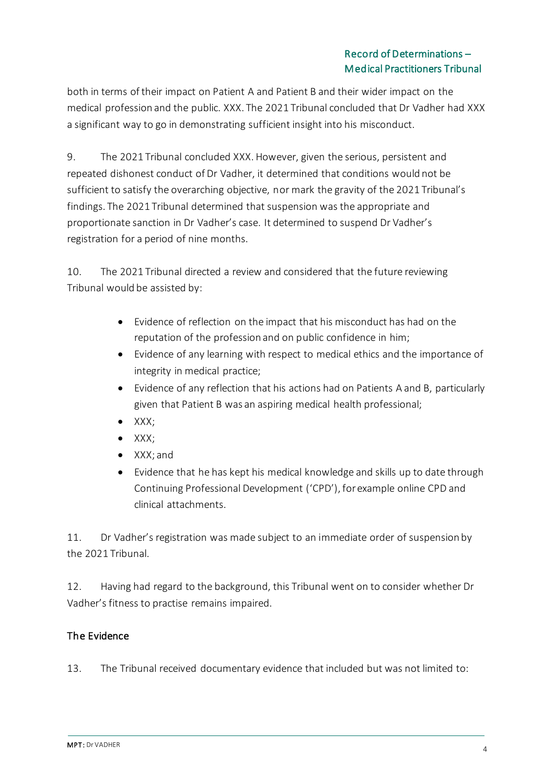# Record of Determinations – Medical Practitioners Tribunal

both in terms of their impact on Patient A and Patient B and their wider impact on the medical profession and the public. XXX. The 2021 Tribunal concluded that Dr Vadher had XXX a significant way to go in demonstrating sufficient insight into his misconduct.

9. The 2021 Tribunal concluded XXX. However, given the serious, persistent and repeated dishonest conduct of Dr Vadher, it determined that conditions would not be sufficient to satisfy the overarching objective, nor mark the gravity of the 2021 Tribunal's findings. The 2021 Tribunal determined that suspension was the appropriate and proportionate sanction in Dr Vadher's case. It determined to suspend Dr Vadher's registration for a period of nine months.

10. The 2021 Tribunal directed a review and considered that the future reviewing Tribunal would be assisted by:

- Evidence of reflection on the impact that his misconduct has had on the reputation of the profession and on public confidence in him;
- Evidence of any learning with respect to medical ethics and the importance of integrity in medical practice;
- Evidence of any reflection that his actions had on Patients A and B, particularly given that Patient B was an aspiring medical health professional;
- XXX;
- XXX;
- XXX; and
- Evidence that he has kept his medical knowledge and skills up to date through Continuing Professional Development ('CPD'), for example online CPD and clinical attachments.

11. Dr Vadher's registration was made subject to an immediate order of suspension by the 2021 Tribunal.

12. Having had regard to the background, this Tribunal went on to consider whether Dr Vadher's fitness to practise remains impaired.

# The Evidence

13. The Tribunal received documentary evidence that included but was not limited to: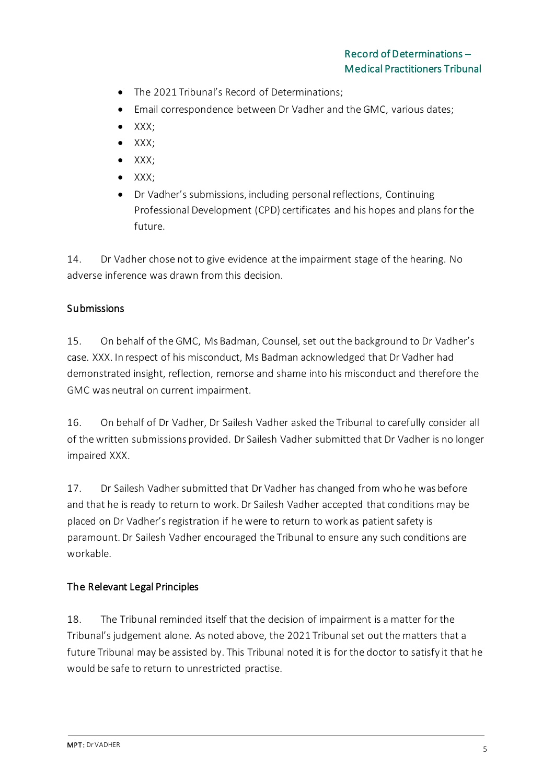- The 2021 Tribunal's Record of Determinations;
- Email correspondence between Dr Vadher and the GMC, various dates;
- XXX;
- XXX;
- XXX;
- XXX;
- Dr Vadher's submissions, including personal reflections, Continuing Professional Development (CPD) certificates and his hopes and plans for the future.

14. Dr Vadher chose not to give evidence at the impairment stage of the hearing. No adverse inference was drawn from this decision.

# **Submissions**

15. On behalf of the GMC, Ms Badman, Counsel, set out the background to Dr Vadher's case. XXX. In respect of his misconduct, Ms Badman acknowledged that Dr Vadher had demonstrated insight, reflection, remorse and shame into his misconduct and therefore the GMC was neutral on current impairment.

16. On behalf of Dr Vadher, Dr Sailesh Vadher asked the Tribunal to carefully consider all of the written submissions provided. Dr Sailesh Vadher submitted that Dr Vadher is no longer impaired XXX.

17. Dr Sailesh Vadher submitted that Dr Vadher has changed from who he was before and that he is ready to return to work. Dr Sailesh Vadher accepted that conditions may be placed on Dr Vadher's registration if he were to return to work as patient safety is paramount. Dr Sailesh Vadher encouraged the Tribunal to ensure any such conditions are workable.

# The Relevant Legal Principles

18. The Tribunal reminded itself that the decision of impairment is a matter for the Tribunal's judgement alone. As noted above, the 2021 Tribunal set out the matters that a future Tribunal may be assisted by. This Tribunal noted it is for the doctor to satisfy it that he would be safe to return to unrestricted practise.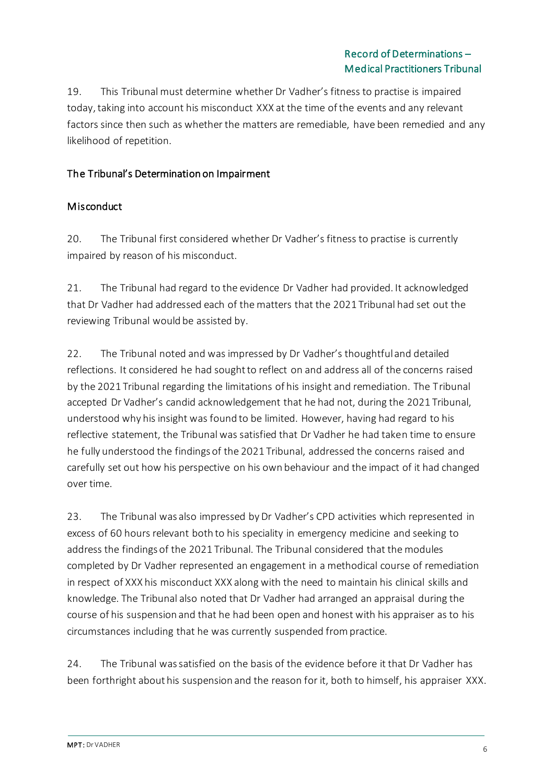# Record of Determinations – Medical Practitioners Tribunal

19. This Tribunal must determine whether Dr Vadher's fitness to practise is impaired today, taking into account his misconduct XXX at the time of the events and any relevant factors since then such as whether the matters are remediable, have been remedied and any likelihood of repetition.

#### The Tribunal's Determination on Impairment

#### **Misconduct**

20. The Tribunal first considered whether Dr Vadher's fitness to practise is currently impaired by reason of his misconduct.

21. The Tribunal had regard to the evidence Dr Vadher had provided. It acknowledged that Dr Vadher had addressed each of the matters that the 2021 Tribunal had set out the reviewing Tribunal would be assisted by.

22. The Tribunal noted and was impressed by Dr Vadher's thoughtful and detailed reflections. It considered he had sought to reflect on and address all of the concerns raised by the 2021 Tribunal regarding the limitations of his insight and remediation. The Tribunal accepted Dr Vadher's candid acknowledgement that he had not, during the 2021 Tribunal, understood why his insight was found to be limited. However, having had regard to his reflective statement, the Tribunal was satisfied that Dr Vadher he had taken time to ensure he fully understood the findings of the 2021 Tribunal, addressed the concerns raised and carefully set out how his perspective on his own behaviour and the impact of it had changed over time.

23. The Tribunal was also impressed by Dr Vadher's CPD activities which represented in excess of 60 hours relevant both to his speciality in emergency medicine and seeking to address the findings of the 2021 Tribunal. The Tribunal considered that the modules completed by Dr Vadher represented an engagement in a methodical course of remediation in respect of XXX his misconduct XXX along with the need to maintain his clinical skills and knowledge. The Tribunal also noted that Dr Vadher had arranged an appraisal during the course of his suspension and that he had been open and honest with his appraiser as to his circumstances including that he was currently suspended from practice.

24. The Tribunal was satisfied on the basis of the evidence before it that Dr Vadher has been forthright about his suspension and the reason for it, both to himself, his appraiser XXX.